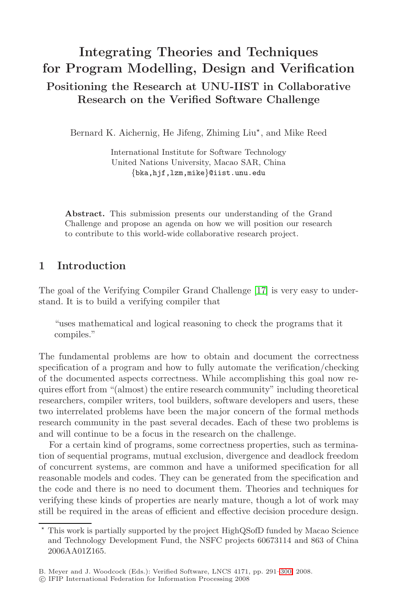# **Integrating Theories and Techniques for Program Modelling, Design and Verification Positioning the Research at UNU-IIST in Collaborative Research on the Verified Software Challenge**

Bernard K. Aichernig, He Jifeng, Zhiming Liu<sup>\*</sup>, and Mike Reed

International Institute for Software Technology United Nations University, Macao SAR, China {bka,hjf,lzm,mike}@iist.unu.edu

**Abstract.** This submission presents our understanding of the Grand Challenge and propose an agenda on how we will position our research to contribute to this world-wide collaborative research project.

# **1 Introduction**

The goal of the Verifying Compiler Grand Challenge [17] is very easy to understand. It is to build a verifying compiler that

"uses mathematical and logical reasoning to check the programs that it compiles."

The fundamental problems are how to obtain and document the correctness specification of a program and how to fully automate the verification/checking of the documented aspects correctness. While accomplishing this goal now requires effort from "(almost) the entire research community" including theoretical researchers, compiler writers, tool builders, software developers and users, these two interrelated problems have been the major concern of the formal methods research community in the past several decades. Each of these two problems is and will continue to be a focus in the research on the challenge.

For a certain kind of programs, some correctness properties, such as termination of sequential programs, mutual exclusion, divergence and deadlock freedom of concurrent systems, are common and have a uniformed specification for all reasonable models and codes. They can be generated from the specification and the code and there is no need to docum[ent](#page-9-0) them. Theories and techniques for verifying these kinds of properties are nearly mature, though a lot of work may still be required in the areas of efficient and effective decision procedure design.

 $\star$  This work is partially supported by the project HighQSofD funded by Macao Science and Technology Development Fund, the NSFC projects 60673114 and 863 of China 2006AA01Z165.

B. Meyer and J. Woodcock (Eds.): Verified Software, LNCS 4171, pp. 291–300, 2008.

<sup>-</sup>c IFIP International Federation for Information Processing 2008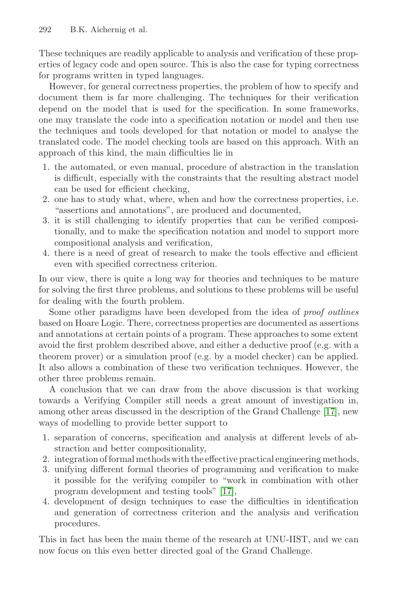These techniques are readily applicable to analysis and verification of these properties of legacy code and open source. This is also the case for typing correctness for programs written in typed languages.

However, for general correctness properties, the problem of how to specify and document them is far more challenging. The techniques for their verification depend on the model that is used for the specification. In some frameworks, one may translate the code into a specification notation or model and then use the techniques and tools developed for that notation or model to analyse the translated code. The model checking tools are based on this approach. With an approach of this kind, the main difficulties lie in

- 1. the automated, or even manual, procedure of abstraction in the translation is difficult, especially with the constraints that the resulting abstract model can be used for efficient checking,
- 2. one has to study what, where, when and how the correctness properties, i.e. "assertions and annotations", are produced and documented,
- 3. it is still challenging to identify properties that can be verified compositionally, and to make the specification notation and model to support more compositional analysis and verification,
- 4. there is a need of great of research to make the tools effective and efficient even with specified correctness criterion.

In our view, there is quite a long way for theories and techniques to be mature for solving the first three problems, and solutions to these problems will be useful for dealing with the fourth problem.

Some other paradigms have been developed from the idea of proof outlines based on Hoare Logic. There, correctness properties [are d](#page-8-0)ocumented as assertions and annotations at certain points of a program. These approaches to some extent avoid the first problem described above, and either a deductive proof (e.g. with a theorem prover) or a simulation proof (e.g. by a model checker) can be applied. It also allows a combination of these two verification techniques. However, the other three problems remain.

A conclusion that we can draw from the above discussion is that working towards a Verifying Com[pile](#page-8-0)r still needs a great amount of investigation in, among other areas discussed in the description of the Grand Challenge [17], new ways of modelling to provide better support to

- 1. separation of concerns, specification and analysis at different levels of abstraction and better compositionality,
- 2. integration of formal methods with the effective practical engineering methods,
- 3. unifying different formal theories of programming and verification to make it possible for the verifying compiler to "work in combination with other program development and testing tools" [17],
- 4. development of design techniques to ease the difficulties in identification and generation of correctness criterion and the analysis and verification procedures.

This in fact has been the main theme of the research at UNU-IIST, and we can now focus on this even better directed goal of the Grand Challenge.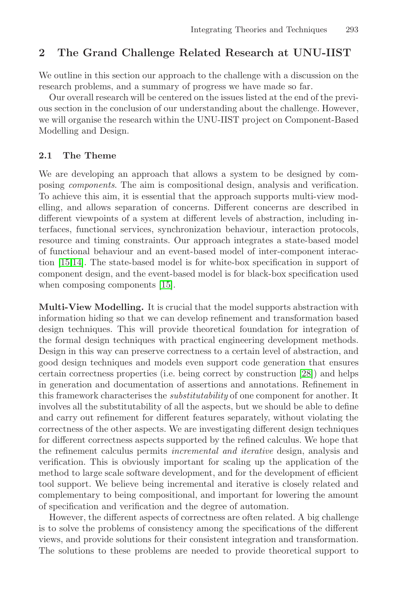# **2 The Grand Challenge Related Research at UNU-IIST**

We outline in this section our approach to the challenge with a discussion on the research problems, and a summary of progress we have made so far.

Our overall research will be centered on the issues listed at the end of the previous section in the conclusion of our understanding about the challenge. However, we will organise the research within the UNU-IIST project on Component-Based Modelling and Design.

#### **2.1 The Theme**

We are developing an approach that allows a system to be designed by composing components. The aim is compositional design, analysis and verification. To achieve [thi](#page-8-1)s aim, it is essential that the approach supports multi-view modelling, and allows separation of concerns. Different concerns are described in different viewpoints of a system at different levels of abstraction, including interfaces, functional services, synchronization behaviour, interaction protocols, resource and timing constraints. Our approach integrates a state-based model of functional behaviour and an event-based model of inter-component interaction [15,14]. The state-based model is for white-box specification in support of component design, and the event-based model is for black-box specification used when composing components [15].

**Multi-View Modelling.** It is crucial that the model supports abstraction with information hiding so that we can develop refinement and transformation based design techniques. This will provide theoretical foundation for integration of the formal design techniques with practical engineering development methods. Design in this way can preserve correctness to a certain level of abstraction, and good design techniques and models even support code generation that ensures certain correctness properties (i.e. being correct by construction [28]) and helps in generation and documentation of assertions and annotations. Refinement in this framework characterises the substitutability of one component for another. It involves all the substitutability of all the aspects, but we should be able to define and carry out refinement for different features separately, without violating the correctness of the other aspects. We are investigating different design techniques for different correctness aspects supported by the refined calculus. We hope that the refinement calculus permits incremental and iterative design, analysis and verification. This is obviously important for scaling up the application of the method to large scale software development, and for the development of efficient tool support. We believe being incremental and iterative is closely related and complementary to being compositional, and important for lowering the amount of specification and verification and the degree of automation.

However, the different aspects of correctness are often related. A big challenge is to solve the problems of consistency among the specifications of the different views, and provide solutions for their consistent integration and transformation. The solutions to these problems are needed to provide theoretical support to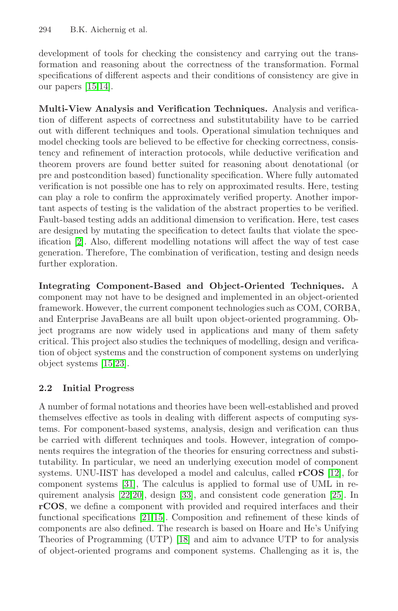development of tools for checking the consistency and carrying out the transformation and reasoning about the correctness of the transformation. Formal specifications of different aspects and their conditions of consistency are give in our papers [15,14].

**Multi-View Analysis and Verification Techniques.** Analysis and verification of different aspects of correctness and substitutability have to be carried out with different techniques and tools. Operational simulation techniques and model checking tools are believed to be effective for checking correctness, consistency and refinement of interaction protocols, while deductive verification and theorem provers are found better suited for reasoning about denotational (or pre and postcondition based) functionality specification. Where fully automated verification is not possible one has to rely on approximated results. Here, testing can play a role to confirm the approximately verified property. Another important aspects of testing is the validation of the abstract properties to be verified. Fault-based testing adds an additional dimension to verification. Here, test cases are designed by mutating the specification to detect faults that violate the specification [2]. Also, different modelling notations will affect the way of test case generation. Therefore, The combination of verification, testing and design needs further exploration.

**[Int](#page-8-2)egrating Component-Based and Object-Oriented Techniques.** A component may not have to be designed and implemented in an object-oriented framework. However, the current component technologies such as COM, CORBA, and Enterprise JavaBeans are all built upon object-oriented programming. Object programs are now widely used in applications and many of them safety critical. This project also studies the techniques of modelling, design and verification of object systems and the construction of component systems on underlying object systems [15,23].

#### **2.2 Initial Progress**

[A n](#page-8-3)[umb](#page-8-4)er of for[mal](#page-9-2) notations and theories have been [well-](#page-9-3)established and proved themselves effective as tools in dealing with different aspects of computing systems. [For](#page-8-5) [co](#page-8-1)mponent-based systems, analysis, design and verification can thus be carried with different techniques and tools. However, integration of components requires t[he i](#page-8-6)ntegration of the theories for ensuring correctness and substitutability. In particular, we need an underlying execution model of component systems. UNU-IIST has developed a model and calculus, called **rCOS** [12], for component systems [31], The calculus is applied to formal use of UML in requirement analysis [22,20], design [33], and consistent code generation [25]. In **rCOS**, we define a component with provided and required interfaces and their functional specifications [21,15]. Composition and refinement of these kinds of components are also defined. The research is based on Hoare and He's Unifying Theories of Programming (UTP) [18] and aim to advance UTP to for analysis of object-oriented programs and component systems. Challenging as it is, the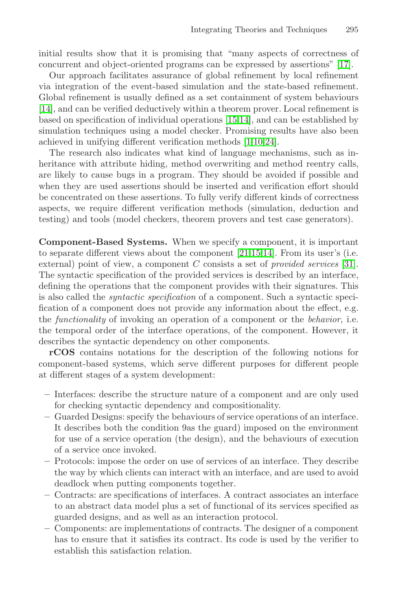initial results show that it is p[ro](#page-7-0)[mi](#page-8-7)[sing](#page-8-8) that "many aspects of correctness of concurrent and object-oriented programs can be expressed by assertions" [17].

Our approach facilitates assurance of global refinement by local refinement via integration of the event-based simulation and the state-based refinement. Global refinement is usually defined as a set containment of system behaviours [14], and can be verified deductively within a theorem prover. Local refinement is based on specification of individual operations [15,14], and can be established by simulation techniques using a model checker. Promising results have also been achieved in unifying different verification methods [1,10,24].

The research also indicates what kind of language mechanisms, such as inheritance with attribute hidin[g,](#page-8-5) [met](#page-8-1)[hod](#page-8-9) overwriting and method reentry calls, are likely to cause bugs in a program. They should be [avo](#page-9-1)ided if possible and when they are used assertions should be inserted and verification effort should be concentrated on these assertions. To fully verify different kinds of correctness aspects, we require different verification methods (simulation, deduction and testing) and tools (model checkers, theorem provers and test case generators).

**Component-Based Systems.** When we specify a component, it is important to separate different views about the component [21,15,14]. From its user's (i.e. external) point of view, a component  $C$  consists a set of *provided services* [31]. The syntactic specification of the provided services is described by an interface, defining the operations that the component provides with their signatures. This is also called the syntactic specification of a component. Such a syntactic specification of a component does not provide any information about the effect, e.g. the functionality of invoking an operation of a component or the behavior, i.e. the temporal order of the interface operations, of the component. However, it describes the syntactic dependency on other components.

**rCOS** contains notations for the description of the following notions for component-based systems, which serve different purposes for different people at different stages of a system development:

- **–** Interfaces: describe the structure nature of a component and are only used for checking syntactic dependency and compositionality.
- **–** Guarded Designs: specify the behaviours of service operations of an interface. It describes both the condition 9as the guard) imposed on the environment for use of a service operation (the design), and the behaviours of execution of a service once invoked.
- **–** Protocols: impose the order on use of services of an interface. They describe the way by which clients can interact with an interface, and are used to avoid deadlock when putting components together.
- **–** Contracts: are specifications of interfaces. A contract associates an interface to an abstract data model plus a set of functional of its services specified as guarded designs, and as well as an interaction protocol.
- **–** Components: are implementations of contracts. The designer of a component has to ensure that it satisfies its contract. Its code is used by the verifier to establish this satisfaction relation.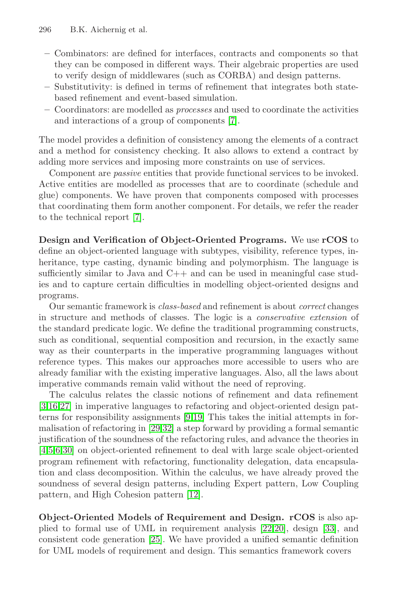- **–** Combinators: are defined for interfaces, contracts and components so that they can be composed in different ways. Their algebraic properties are used to verify design of middlewares (such as CORBA) and design patterns.
- **–** Substitutivity: is defined in terms of refinement that integrates both statebased refinement and event-based simulation.
- **–** Coordinators: are modelled as processes and used to coordinate the activities and interactions of a group of components [7].

The [m](#page-8-10)odel provides a definition of consistency among the elements of a contract and a method for consistency checking. It also allows to extend a contract by adding more services and imposing more constraints on use of services.

Component are passive entities that provide functional services to be invoked. Active entities are modelled as processes that are to coordinate (schedule and glue) components. We have proven that components composed with processes that coordinating them form another component. For details, we refer the reader to the technical report [7].

**Design and Verification of Object-Oriented Programs.** We use **rCOS** to define an object-oriented language with subtypes, visibility, reference types, inheritance, type casting, dynamic binding and polymorphism. The language is sufficiently similar to Java and C++ and can be used in meaningful case studies and to capture certain difficulties in modelling object-oriented designs and programs.

Our semantic framework is class-based and refinement is about correct changes in structure and methods of classes. The logic is a conservative extension of the standard pre[dic](#page-8-11)[ate](#page-8-12) logic. We define the traditional programming constructs, such as [con](#page-9-4)[dit](#page-9-5)ional, sequential composition and recursion, in the exactly same way as their counterparts in the imperative programming languages without reference types. This makes our approaches more accessible to users who are already familiar with the existing imperative languages. Also, all the laws about imperative commands remain valid without the need of reproving.

The calculus relates the classic notions of refinement and data refinement [3,16,27] in imper[ativ](#page-8-13)e languages to refactoring and object-oriented design patterns for responsibility assignments [9,19] This takes the initial attempts in formalisation of refactoring in [29,32] a step forward by providing a formal semantic justification of the soundness of the r[efa](#page-8-3)[ctor](#page-8-4)ing rules[, an](#page-9-2)d advance the theories in [4,5,6,30[\] on](#page-9-3) object-oriented refinement to deal with large scale object-oriented program refinement with refactoring, functionality delegation, data encapsulation and class decomposition. Within the calculus, we have already proved the soundness of several design patterns, including Expert pattern, Low Coupling pattern, and High Cohesion pattern [12].

**Object-Oriented Models of Requirement and Design. rCOS** is also applied to formal use of UML in requirement analysis [22,20], design [33], and consistent code generation [25]. We have provided a unified semantic definition for UML models of requirement and design. This semantics framework covers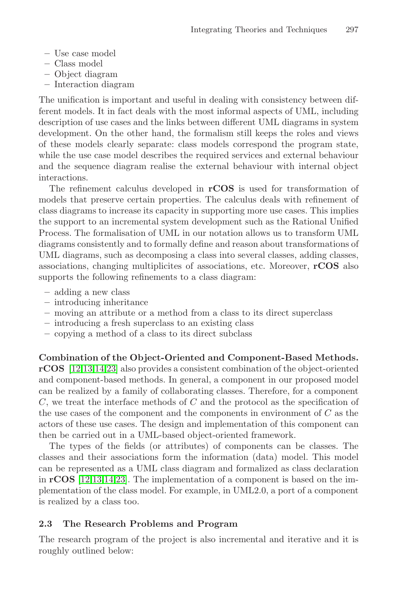- **–** Use case model
- **–** Class model
- **–** Object diagram
- **–** Interaction diagram

The unification is important and useful in dealing with consistency between different models. It in fact deals with the most informal aspects of UML, including description of use cases and the links between different UML diagrams in system development. On the other hand, the formalism still keeps the roles and views of these models clearly separate: class models correspond the program state, while the use case model describes the required services and external behaviour and the sequence diagram realise the external behaviour with internal object interactions.

The refinement calculus developed in **rCOS** is used for transformation of models that preserve certain properties. The calculus deals with refinement of class diagrams to increase its capacity in supporting more use cases. This implies the support to an incremental system development such as the Rational Unified Process. The formalisation of UML in our notation allows us to transform UML diagrams consistently and to formally define and reason about transformations of UML diagrams, such as decomposing a class into several classes, adding classes, associations, changing multiplicites of associations, etc. Moreover, **rCOS** also [s](#page-8-2)upports the following refinements to a class diagram:

- **–** adding a new class
- **–** introducing inheritance
- **–** moving an attribute or a method from a class to its direct superclass
- **–** introducing a fresh superclass to an existing class
- **–** copying a method of a class to its direct subclass

**Combination of the Object-Oriented and Component-Based Methods. rCOS** [12,13,14,23] also provides a consistent combination of the object-oriented and component-based methods. In general, a component in our proposed model [can](#page-8-2) be realized by a family of collaborating classes. Therefore, for a component  $C$ , we treat the interface methods of  $C$  and the protocol as the specification of the use cases of the component and the components in environment of C as the actors of these use cases. The design and implementation of this component can then be carried out in a UML-based object-oriented framework.

The types of the fields (or attributes) of components can be classes. The classes and their associations form the information (data) model. This model can be represented as a UML class diagram and formalized as class declaration in **rCOS** [12,13,14,23]. The implementation of a component is based on the implementation of the class model. For example, in UML2.0, a port of a component is realized by a class too.

#### **2.3 The Research Problems and Program**

The research program of the project is also incremental and iterative and it is roughly outlined below: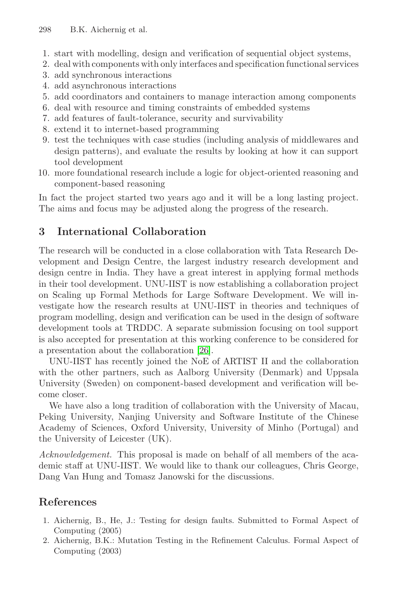- 1. start with modelling, design and verification of sequential object systems,
- 2. deal with components with only interfacesand specification functional services
- 3. add synchronous interactions
- 4. add asynchronous interactions
- 5. add coordinators and containers to manage interaction among components
- 6. deal with resource and timing constraints of embedded systems
- 7. add features of fault-tolerance, security and survivability
- 8. extend it to internet-based programming
- 9. test the techniques with case studies (including analysis of middlewares and design patterns), and evaluate the results by looking at how it can support tool development
- 10. more foundational research include a logic for object-oriented reasoning and component-based reasoning

In fact the project started two years ago and it will be a long lasting project. The aims and focus may be adjusted along the progress of the research.

# **3 International Collaboration**

The research will be conducted in a close collaboration with Tata Research Development and Desi[gn](#page-9-6) Centre, the largest industry research development and design centre in India. They have a great interest in applying formal methods in their tool development. UNU-IIST is now establishing a collaboration project on Scaling up Formal Methods for Large Software Development. We will investigate how the research results at UNU-IIST in theories and techniques of program modelling, design and verification can be used in the design of software development tools at TRDDC. A separate submission focusing on tool support is also accepted for presentation at this working conference to be considered for a presentation about the collaboration [26].

UNU-IIST has recently joined the NoE of ARTIST II and the collaboration with the other partners, such as Aalborg University (Denmark) and Uppsala University (Sweden) on component-based development and verification will become closer.

<span id="page-7-0"></span>We have also a long tradition of collaboration with the University of Macau, Peking University, Nanjing University and Software Institute of the Chinese Academy of Sciences, Oxford University, University of Minho (Portugal) and the University of Leicester (UK).

Acknowledgement. This proposal is made on behalf of all members of the academic staff at UNU-IIST. We would like to thank our colleagues, Chris George, Dang Van Hung and Tomasz Janowski for the discussions.

### **References**

- 1. Aichernig, B., He, J.: Testing for design faults. Submitted to Formal Aspect of Computing (2005)
- 2. Aichernig, B.K.: Mutation Testing in the Refinement Calculus. Formal Aspect of Computing (2003)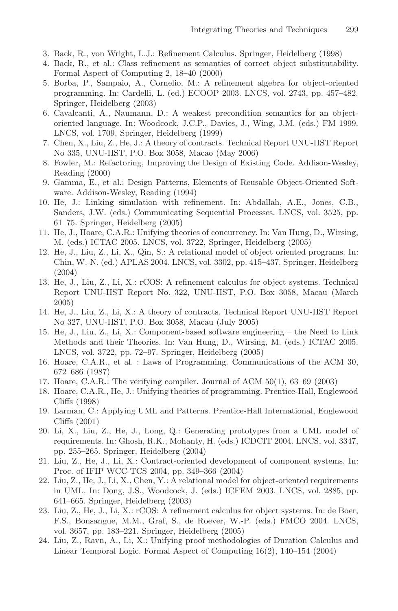- 3. Back, R., von Wright, L.J.: Refinement Calculus. Springer, Heidelberg (1998)
- 4. Back, R., et al.: Class refinement as semantics of correct object substitutability. Formal Aspect of Computing 2, 18–40 (2000)
- 5. Borba, P., Sampaio, A., Cornelio, M.: A refinement algebra for object-oriented programming. In: Cardelli, L. (ed.) ECOOP 2003. LNCS, vol. 2743, pp. 457–482. Springer, Heidelberg (2003)
- 6. Cavalcanti, A., Naumann, D.: A weakest precondition semantics for an objectoriented language. In: Woodcock, J.C.P., Davies, J., Wing, J.M. (eds.) FM 1999. LNCS, vol. 1709, Springer, Heidelberg (1999)
- <span id="page-8-10"></span>7. Chen, X., Liu, Z., He, J.: A theory of contracts. Technical Report UNU-IIST Report No 335, UNU-IIST, P.O. Box 3058, Macao (May 2006)
- 8. Fowler, M.: Refactoring, Improving the Design of Existing Code. Addison-Wesley, Reading (2000)
- <span id="page-8-11"></span>9. Gamma, E., et al.: Design Patterns, Elements of Reusable Object-Oriented Software. Addison-Wesley, Reading (1994)
- <span id="page-8-7"></span>10. He, J.: Linking simulation with refinement. In: Abdallah, A.E., Jones, C.B., Sanders, J.W. (eds.) Communicating Sequential Processes. LNCS, vol. 3525, pp. 61–75. Springer, Heidelberg (2005)
- 11. He, J., Hoare, C.A.R.: Unifying theories of concurrency. In: Van Hung, D., Wirsing, M. (eds.) ICTAC 2005. LNCS, vol. 3722, Springer, Heidelberg (2005)
- <span id="page-8-13"></span>12. He, J., Liu, Z., Li, X., Qin, S.: A relational model of object oriented programs. In: Chin, W.-N. (ed.) APLAS 2004. LNCS, vol. 3302, pp. 415–437. Springer, Heidelberg (2004)
- 13. He, J., Liu, Z., Li, X.: rCOS: A refinement calculus for object systems. Technical Report UNU-IIST Report No. 322, UNU-IIST, P.O. Box 3058, Macau (March 2005)
- <span id="page-8-9"></span>14. He, J., Liu, Z., Li, X.: A theory of contracts. Technical Report UNU-IIST Report No 327, UNU-IIST, P.O. Box 3058, Macau (July 2005)
- <span id="page-8-1"></span>15. He, J., Liu, Z., Li, X.: Component-based software engineering – the Need to Link Methods and their Theories. In: Van Hung, D., Wirsing, M. (eds.) ICTAC 2005. LNCS, vol. 3722, pp. 72–97. Springer, Heidelberg (2005)
- 16. Hoare, C.A.R., et al. : Laws of Programming. Communications of the ACM 30, 672–686 (1987)
- <span id="page-8-6"></span><span id="page-8-0"></span>17. Hoare, C.A.R.: The verifying compiler. Journal of ACM 50(1), 63–69 (2003)
- 18. Hoare, C.A.R., He, J.: Unifying theories of programming. Prentice-Hall, Englewood Cliffs (1998)
- <span id="page-8-12"></span>19. Larman, C.: Applying UML and Patterns. Prentice-Hall International, Englewood Cliffs (2001)
- <span id="page-8-4"></span>20. Li, X., Liu, Z., He, J., Long, Q.: Generating prototypes from a UML model of requirements. In: Ghosh, R.K., Mohanty, H. (eds.) ICDCIT 2004. LNCS, vol. 3347, pp. 255–265. Springer, Heidelberg (2004)
- <span id="page-8-5"></span>21. Liu, Z., He, J., Li, X.: Contract-oriented development of component systems. In: Proc. of IFIP WCC-TCS 2004, pp. 349–366 (2004)
- <span id="page-8-3"></span>22. Liu, Z., He, J., Li, X., Chen, Y.: A relational model for object-oriented requirements in UML. In: Dong, J.S., Woodcock, J. (eds.) ICFEM 2003. LNCS, vol. 2885, pp. 641–665. Springer, Heidelberg (2003)
- <span id="page-8-2"></span>23. Liu, Z., He, J., Li, X.: rCOS: A refinement calculus for object systems. In: de Boer, F.S., Bonsangue, M.M., Graf, S., de Roever, W.-P. (eds.) FMCO 2004. LNCS, vol. 3657, pp. 183–221. Springer, Heidelberg (2005)
- <span id="page-8-8"></span>24. Liu, Z., Ravn, A., Li, X.: Unifying proof methodologies of Duration Calculus and Linear Temporal Logic. Formal Aspect of Computing 16(2), 140–154 (2004)